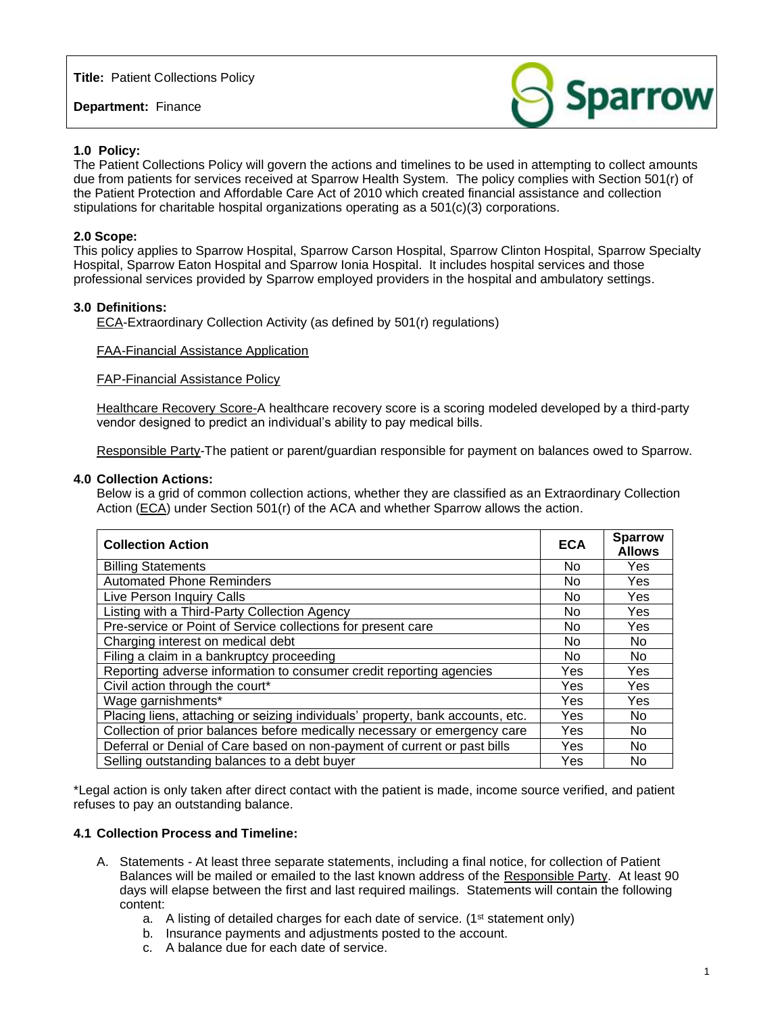**Title:** Patient Collections Policy

**Department:** Finance



### **1.0 Policy:**

The Patient Collections Policy will govern the actions and timelines to be used in attempting to collect amounts due from patients for services received at Sparrow Health System. The policy complies with Section 501(r) of the Patient Protection and Affordable Care Act of 2010 which created financial assistance and collection stipulations for charitable hospital organizations operating as a 501(c)(3) corporations.

### **2.0 Scope:**

This policy applies to Sparrow Hospital, Sparrow Carson Hospital, Sparrow Clinton Hospital, Sparrow Specialty Hospital, Sparrow Eaton Hospital and Sparrow Ionia Hospital. It includes hospital services and those professional services provided by Sparrow employed providers in the hospital and ambulatory settings.

### **3.0 Definitions:**

ECA-Extraordinary Collection Activity (as defined by 501(r) regulations)

#### FAA-Financial Assistance Application

FAP-Financial Assistance Policy

Healthcare Recovery Score-A healthcare recovery score is a scoring modeled developed by a third-party vendor designed to predict an individual's ability to pay medical bills.

Responsible Party-The patient or parent/guardian responsible for payment on balances owed to Sparrow.

#### **4.0 Collection Actions:**

Below is a grid of common collection actions, whether they are classified as an Extraordinary Collection Action (ECA) under Section 501(r) of the ACA and whether Sparrow allows the action.

| <b>Collection Action</b>                                                       | <b>ECA</b> | <b>Sparrow</b><br><b>Allows</b> |
|--------------------------------------------------------------------------------|------------|---------------------------------|
| <b>Billing Statements</b>                                                      | No.        | Yes                             |
| <b>Automated Phone Reminders</b>                                               | No         | Yes                             |
| Live Person Inquiry Calls                                                      | No         | Yes                             |
| Listing with a Third-Party Collection Agency                                   | No.        | Yes                             |
| Pre-service or Point of Service collections for present care                   | No         | Yes                             |
| Charging interest on medical debt                                              | No         | No                              |
| Filing a claim in a bankruptcy proceeding                                      | No.        | No                              |
| Reporting adverse information to consumer credit reporting agencies            | Yes        | Yes                             |
| Civil action through the court*                                                | Yes        | Yes                             |
| Wage garnishments*                                                             | Yes        | Yes                             |
| Placing liens, attaching or seizing individuals' property, bank accounts, etc. | Yes        | No.                             |
| Collection of prior balances before medically necessary or emergency care      | Yes        | No                              |
| Deferral or Denial of Care based on non-payment of current or past bills       | Yes        | No                              |
| Selling outstanding balances to a debt buyer                                   | Yes        | No                              |

\*Legal action is only taken after direct contact with the patient is made, income source verified, and patient refuses to pay an outstanding balance.

#### **4.1 Collection Process and Timeline:**

- A. Statements At least three separate statements, including a final notice, for collection of Patient Balances will be mailed or emailed to the last known address of the Responsible Party. At least 90 days will elapse between the first and last required mailings. Statements will contain the following content:
	- a. A listing of detailed charges for each date of service. (1<sup>st</sup> statement only)
	- b. Insurance payments and adjustments posted to the account.
	- c. A balance due for each date of service.